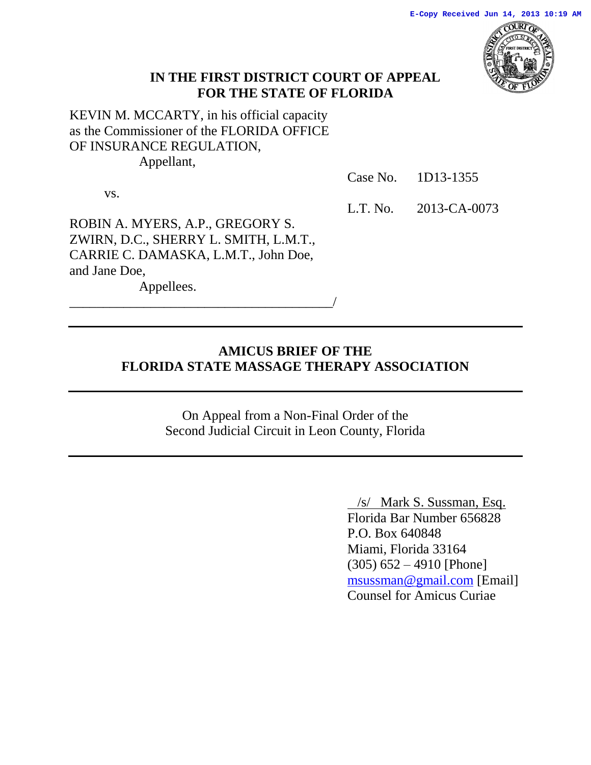

### **IN THE FIRST DISTRICT COURT OF APPEAL FOR THE STATE OF FLORIDA**

KEVIN M. MCCARTY, in his official capacity as the Commissioner of the FLORIDA OFFICE OF INSURANCE REGULATION, Appellant,

Case No. 1D13-1355

vs.

L.T. No. 2013-CA-0073

ROBIN A. MYERS, A.P., GREGORY S. ZWIRN, D.C., SHERRY L. SMITH, L.M.T., CARRIE C. DAMASKA, L.M.T., John Doe, and Jane Doe,

\_\_\_\_\_\_\_\_\_\_\_\_\_\_\_\_\_\_\_\_\_\_\_\_\_\_\_\_\_\_\_\_\_\_\_\_\_\_\_/

Appellees.

### **AMICUS BRIEF OF THE FLORIDA STATE MASSAGE THERAPY ASSOCIATION**

On Appeal from a Non-Final Order of the Second Judicial Circuit in Leon County, Florida

> /s/ Mark S. Sussman, Esq. Florida Bar Number 656828 P.O. Box 640848 Miami, Florida 33164 (305) 652 – 4910 [Phone] [msussman@gmail.com](mailto:msussman@gmail.com) [Email] Counsel for Amicus Curiae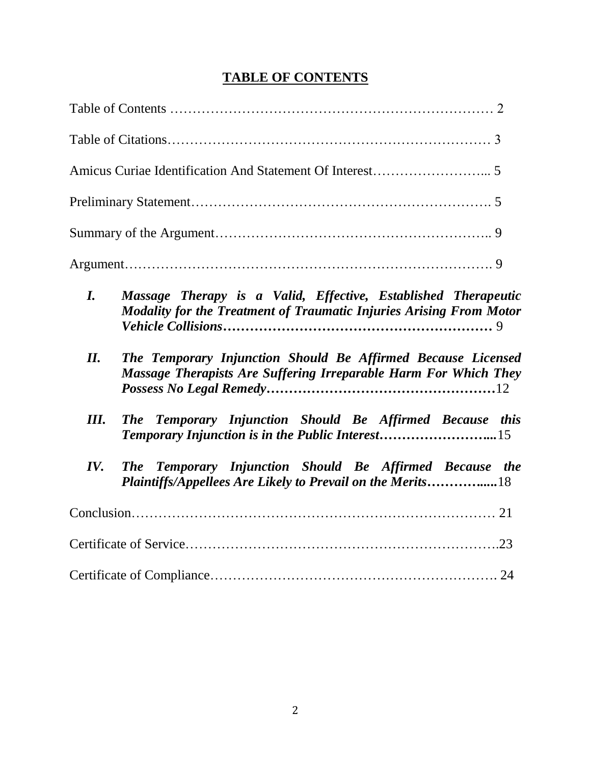# **TABLE OF CONTENTS**

| $\bm{I}$ . | Massage Therapy is a Valid, Effective, Established Therapeutic<br><b>Modality for the Treatment of Traumatic Injuries Arising From Motor</b> |
|------------|----------------------------------------------------------------------------------------------------------------------------------------------|
| II.        | The Temporary Injunction Should Be Affirmed Because Licensed<br>Massage Therapists Are Suffering Irreparable Harm For Which They             |
| Ш.         | The Temporary Injunction Should Be Affirmed Because this<br>Temporary Injunction is in the Public Interest15                                 |
| IV.        | The Temporary Injunction Should Be Affirmed Because the<br>Plaintiffs/Appellees Are Likely to Prevail on the Merits18                        |
|            |                                                                                                                                              |
|            |                                                                                                                                              |
|            |                                                                                                                                              |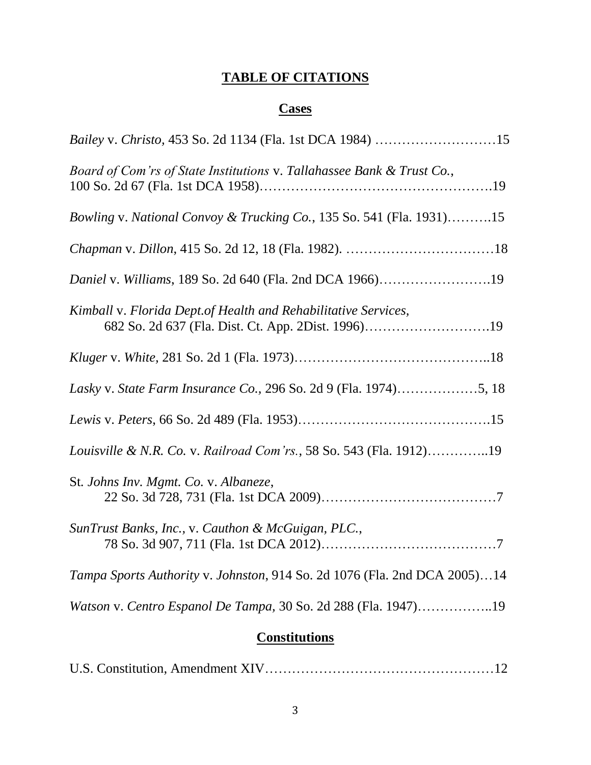# **TABLE OF CITATIONS**

# **Cases**

| Bailey v. Christo, 453 So. 2d 1134 (Fla. 1st DCA 1984) 15                                                             |  |
|-----------------------------------------------------------------------------------------------------------------------|--|
| Board of Com'rs of State Institutions v. Tallahassee Bank & Trust Co.,                                                |  |
| Bowling v. National Convoy & Trucking Co., 135 So. 541 (Fla. 1931)15                                                  |  |
|                                                                                                                       |  |
| Daniel v. Williams, 189 So. 2d 640 (Fla. 2nd DCA 1966)19                                                              |  |
| Kimball v. Florida Dept. of Health and Rehabilitative Services,<br>682 So. 2d 637 (Fla. Dist. Ct. App. 2Dist. 1996)19 |  |
|                                                                                                                       |  |
|                                                                                                                       |  |
|                                                                                                                       |  |
| Louisville & N.R. Co. v. Railroad Com'rs., 58 So. 543 (Fla. 1912)19                                                   |  |
| St. Johns Inv. Mgmt. Co. v. Albaneze,                                                                                 |  |
| SunTrust Banks, Inc., v. Cauthon & McGuigan, PLC.,                                                                    |  |
| Tampa Sports Authority v. Johnston, 914 So. 2d 1076 (Fla. 2nd DCA 2005)14                                             |  |
| Watson v. Centro Espanol De Tampa, 30 So. 2d 288 (Fla. 1947)19                                                        |  |
|                                                                                                                       |  |

# **Constitutions**

|--|--|--|--|--|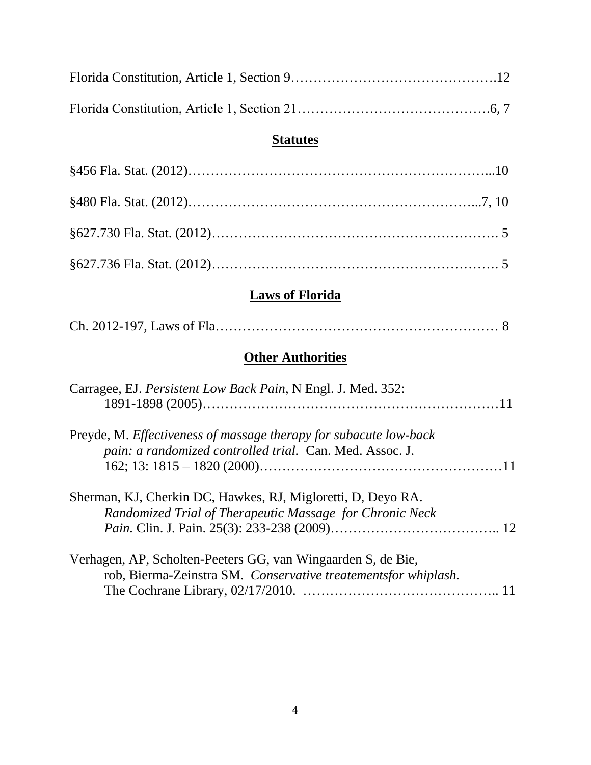### **Statutes**

# **Laws of Florida**

|--|

# **Other Authorities**

| Carragee, EJ. Persistent Low Back Pain, N Engl. J. Med. 352:                                                                   |  |
|--------------------------------------------------------------------------------------------------------------------------------|--|
| Preyde, M. Effectiveness of massage therapy for subacute low-back<br>pain: a randomized controlled trial. Can. Med. Assoc. J.  |  |
| Sherman, KJ, Cherkin DC, Hawkes, RJ, Migloretti, D, Deyo RA.<br>Randomized Trial of Therapeutic Massage for Chronic Neck       |  |
| Verhagen, AP, Scholten-Peeters GG, van Wingaarden S, de Bie,<br>rob, Bierma-Zeinstra SM. Conservative treatementsfor whiplash. |  |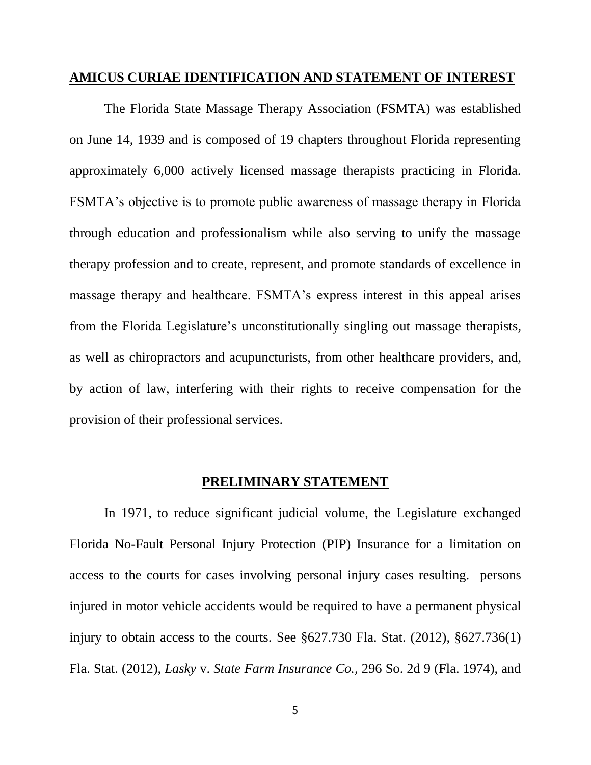#### **AMICUS CURIAE IDENTIFICATION AND STATEMENT OF INTEREST**

The Florida State Massage Therapy Association (FSMTA) was established on June 14, 1939 and is composed of 19 chapters throughout Florida representing approximately 6,000 actively licensed massage therapists practicing in Florida. FSMTA's objective is to promote public awareness of massage therapy in Florida through education and professionalism while also serving to unify the massage therapy profession and to create, represent, and promote standards of excellence in massage therapy and healthcare. FSMTA's express interest in this appeal arises from the Florida Legislature's unconstitutionally singling out massage therapists, as well as chiropractors and acupuncturists, from other healthcare providers, and, by action of law, interfering with their rights to receive compensation for the provision of their professional services.

#### **PRELIMINARY STATEMENT**

In 1971, to reduce significant judicial volume, the Legislature exchanged Florida No-Fault Personal Injury Protection (PIP) Insurance for a limitation on access to the courts for cases involving personal injury cases resulting. persons injured in motor vehicle accidents would be required to have a permanent physical injury to obtain access to the courts. See §627.730 Fla. Stat. (2012), §627.736(1) Fla. Stat. (2012), *Lasky* v. *State Farm Insurance Co.,* 296 So. 2d 9 (Fla. 1974), and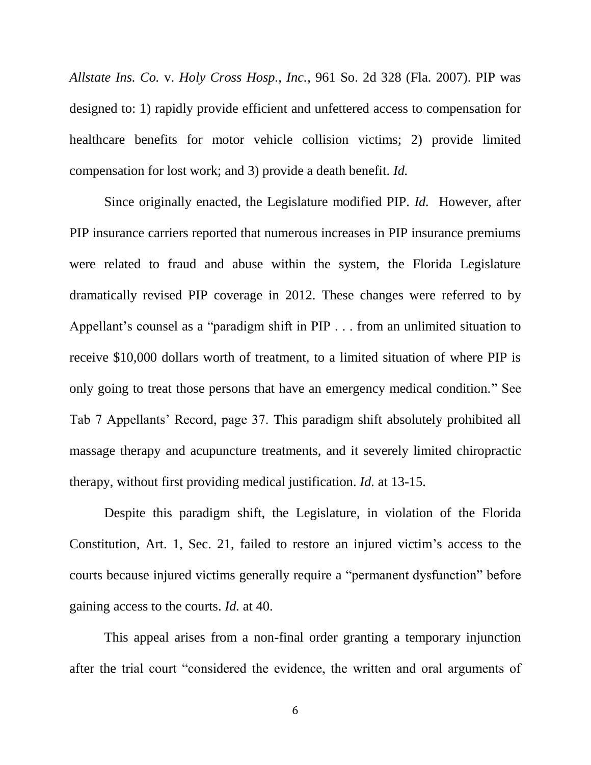*Allstate Ins. Co.* v. *Holy Cross Hosp., Inc.*, 961 So. 2d 328 (Fla. 2007). PIP was designed to: 1) rapidly provide efficient and unfettered access to compensation for healthcare benefits for motor vehicle collision victims; 2) provide limited compensation for lost work; and 3) provide a death benefit. *Id.*

Since originally enacted, the Legislature modified PIP. *Id.* However, after PIP insurance carriers reported that numerous increases in PIP insurance premiums were related to fraud and abuse within the system, the Florida Legislature dramatically revised PIP coverage in 2012. These changes were referred to by Appellant's counsel as a "paradigm shift in PIP . . . from an unlimited situation to receive \$10,000 dollars worth of treatment, to a limited situation of where PIP is only going to treat those persons that have an emergency medical condition." See Tab 7 Appellants' Record, page 37. This paradigm shift absolutely prohibited all massage therapy and acupuncture treatments, and it severely limited chiropractic therapy, without first providing medical justification. *Id.* at 13-15.

Despite this paradigm shift, the Legislature, in violation of the Florida Constitution, Art. 1, Sec. 21, failed to restore an injured victim's access to the courts because injured victims generally require a "permanent dysfunction" before gaining access to the courts. *Id.* at 40.

This appeal arises from a non-final order granting a temporary injunction after the trial court "considered the evidence, the written and oral arguments of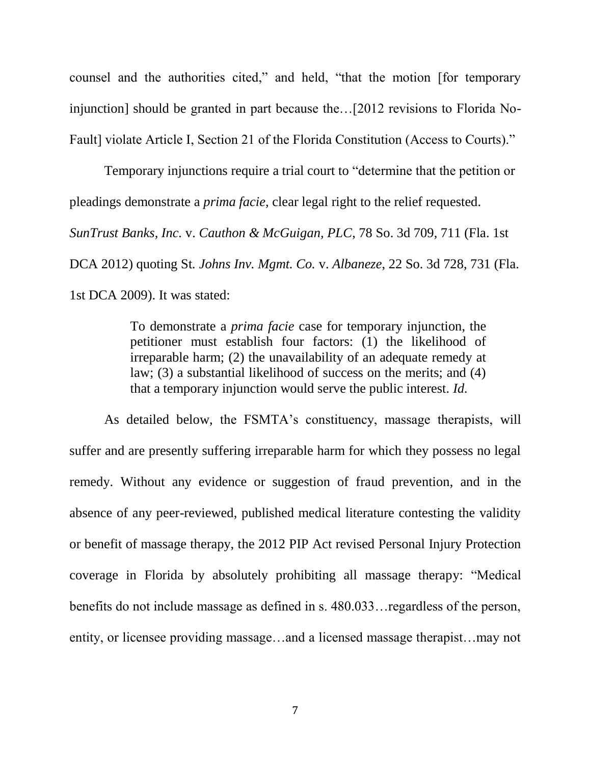counsel and the authorities cited," and held, "that the motion [for temporary injunction] should be granted in part because the…[2012 revisions to Florida No-Fault] violate Article I, Section 21 of the Florida Constitution (Access to Courts)."

Temporary injunctions require a trial court to "determine that the petition or pleadings demonstrate a *prima facie*, clear legal right to the relief requested. *SunTrust Banks, Inc.* v. *Cauthon & McGuigan, PLC*, 78 So. 3d 709, 711 (Fla. 1st DCA 2012) quoting St*. Johns Inv. Mgmt. Co.* v. *Albaneze*, 22 So. 3d 728, 731 (Fla. 1st DCA 2009). It was stated:

> To demonstrate a *prima facie* case for temporary injunction, the petitioner must establish four factors: (1) the likelihood of irreparable harm; (2) the unavailability of an adequate remedy at law; (3) a substantial likelihood of success on the merits; and (4) that a temporary injunction would serve the public interest. *Id.*

As detailed below, the FSMTA's constituency, massage therapists, will suffer and are presently suffering irreparable harm for which they possess no legal remedy. Without any evidence or suggestion of fraud prevention, and in the absence of any peer-reviewed, published medical literature contesting the validity or benefit of massage therapy, the 2012 PIP Act revised Personal Injury Protection coverage in Florida by absolutely prohibiting all massage therapy: "Medical benefits do not include massage as defined in s. 480.033…regardless of the person, entity, or licensee providing massage…and a licensed massage therapist…may not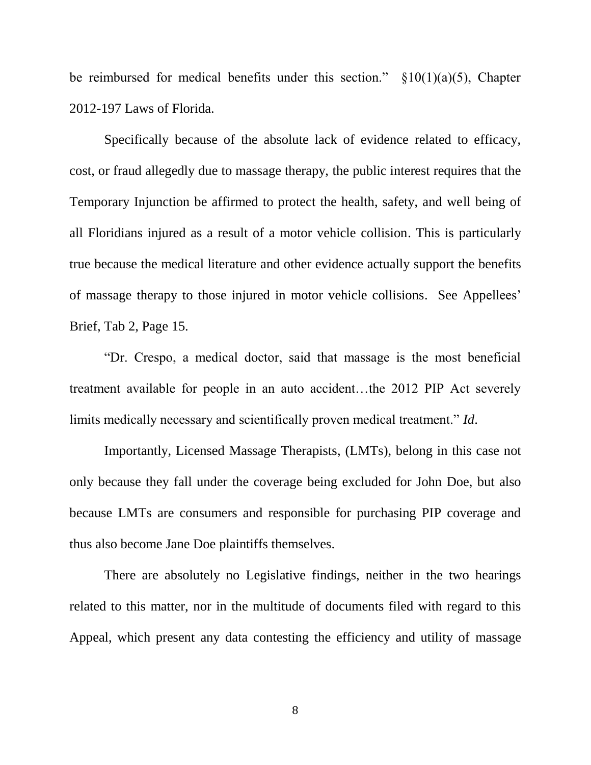be reimbursed for medical benefits under this section."  $\S 10(1)(a)(5)$ , Chapter 2012-197 Laws of Florida.

Specifically because of the absolute lack of evidence related to efficacy, cost, or fraud allegedly due to massage therapy, the public interest requires that the Temporary Injunction be affirmed to protect the health, safety, and well being of all Floridians injured as a result of a motor vehicle collision. This is particularly true because the medical literature and other evidence actually support the benefits of massage therapy to those injured in motor vehicle collisions. See Appellees' Brief, Tab 2, Page 15.

"Dr. Crespo, a medical doctor, said that massage is the most beneficial treatment available for people in an auto accident…the 2012 PIP Act severely limits medically necessary and scientifically proven medical treatment." *Id*.

Importantly, Licensed Massage Therapists, (LMTs), belong in this case not only because they fall under the coverage being excluded for John Doe, but also because LMTs are consumers and responsible for purchasing PIP coverage and thus also become Jane Doe plaintiffs themselves.

There are absolutely no Legislative findings, neither in the two hearings related to this matter, nor in the multitude of documents filed with regard to this Appeal, which present any data contesting the efficiency and utility of massage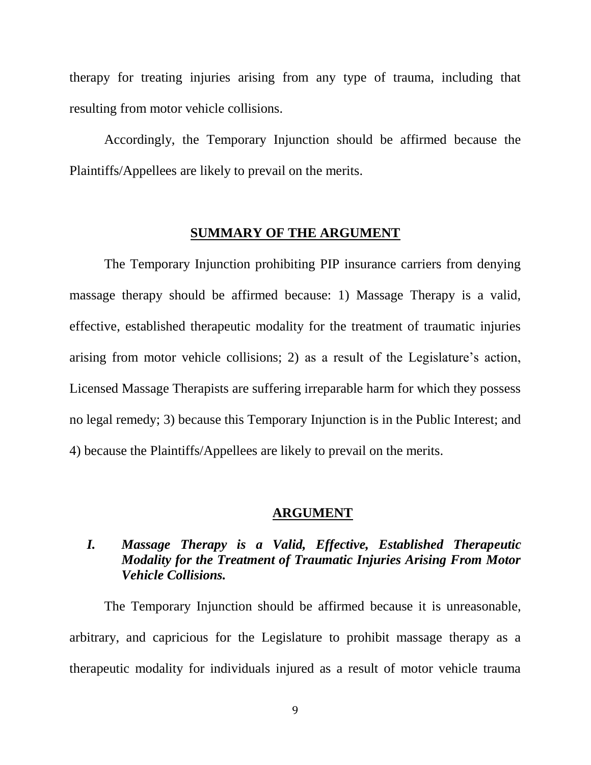therapy for treating injuries arising from any type of trauma, including that resulting from motor vehicle collisions.

Accordingly, the Temporary Injunction should be affirmed because the Plaintiffs/Appellees are likely to prevail on the merits.

### **SUMMARY OF THE ARGUMENT**

The Temporary Injunction prohibiting PIP insurance carriers from denying massage therapy should be affirmed because: 1) Massage Therapy is a valid, effective, established therapeutic modality for the treatment of traumatic injuries arising from motor vehicle collisions; 2) as a result of the Legislature's action, Licensed Massage Therapists are suffering irreparable harm for which they possess no legal remedy; 3) because this Temporary Injunction is in the Public Interest; and 4) because the Plaintiffs/Appellees are likely to prevail on the merits.

#### **ARGUMENT**

### *I. Massage Therapy is a Valid, Effective, Established Therapeutic Modality for the Treatment of Traumatic Injuries Arising From Motor Vehicle Collisions.*

The Temporary Injunction should be affirmed because it is unreasonable, arbitrary, and capricious for the Legislature to prohibit massage therapy as a therapeutic modality for individuals injured as a result of motor vehicle trauma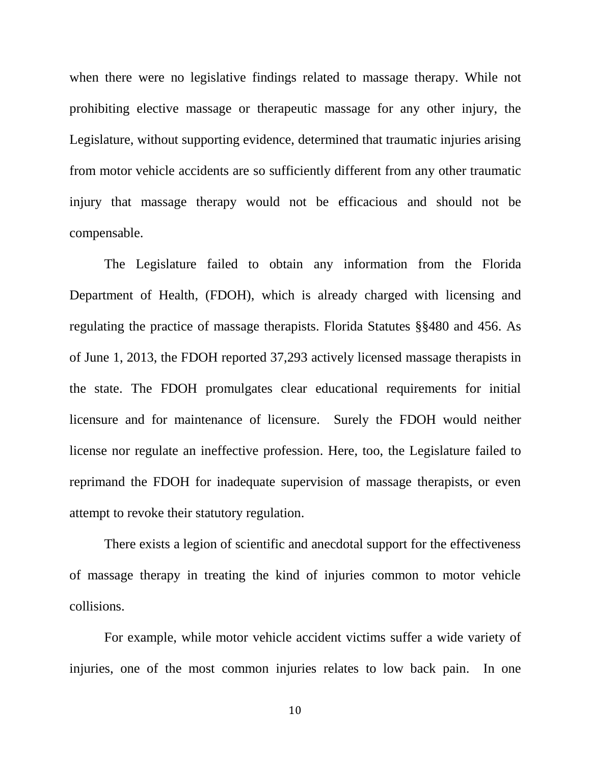when there were no legislative findings related to massage therapy. While not prohibiting elective massage or therapeutic massage for any other injury, the Legislature, without supporting evidence, determined that traumatic injuries arising from motor vehicle accidents are so sufficiently different from any other traumatic injury that massage therapy would not be efficacious and should not be compensable.

The Legislature failed to obtain any information from the Florida Department of Health, (FDOH), which is already charged with licensing and regulating the practice of massage therapists. Florida Statutes §§480 and 456. As of June 1, 2013, the FDOH reported 37,293 actively licensed massage therapists in the state. The FDOH promulgates clear educational requirements for initial licensure and for maintenance of licensure. Surely the FDOH would neither license nor regulate an ineffective profession. Here, too, the Legislature failed to reprimand the FDOH for inadequate supervision of massage therapists, or even attempt to revoke their statutory regulation.

There exists a legion of scientific and anecdotal support for the effectiveness of massage therapy in treating the kind of injuries common to motor vehicle collisions.

For example, while motor vehicle accident victims suffer a wide variety of injuries, one of the most common injuries relates to low back pain. In one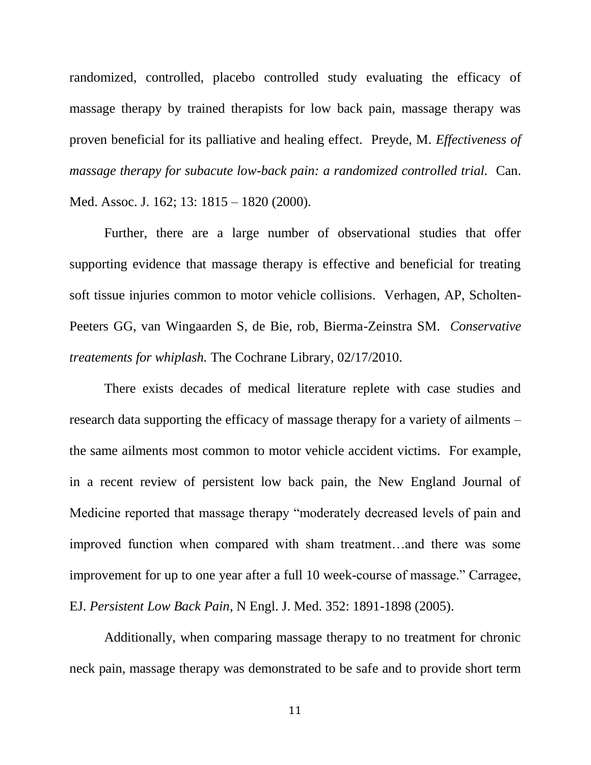randomized, controlled, placebo controlled study evaluating the efficacy of massage therapy by trained therapists for low back pain, massage therapy was proven beneficial for its palliative and healing effect. Preyde, M. *Effectiveness of massage therapy for subacute low-back pain: a randomized controlled trial. Can.* Med. Assoc. J. 162; 13: 1815 – 1820 (2000).

Further, there are a large number of observational studies that offer supporting evidence that massage therapy is effective and beneficial for treating soft tissue injuries common to motor vehicle collisions. Verhagen, AP, Scholten-Peeters GG, van Wingaarden S, de Bie, rob, Bierma-Zeinstra SM. *Conservative treatements for whiplash.* The Cochrane Library, 02/17/2010.

There exists decades of medical literature replete with case studies and research data supporting the efficacy of massage therapy for a variety of ailments – the same ailments most common to motor vehicle accident victims. For example, in a recent review of persistent low back pain, the New England Journal of Medicine reported that massage therapy "moderately decreased levels of pain and improved function when compared with sham treatment…and there was some improvement for up to one year after a full 10 week-course of massage." Carragee, EJ. *Persistent Low Back Pain*, N Engl. J. Med. 352: 1891-1898 (2005).

Additionally, when comparing massage therapy to no treatment for chronic neck pain, massage therapy was demonstrated to be safe and to provide short term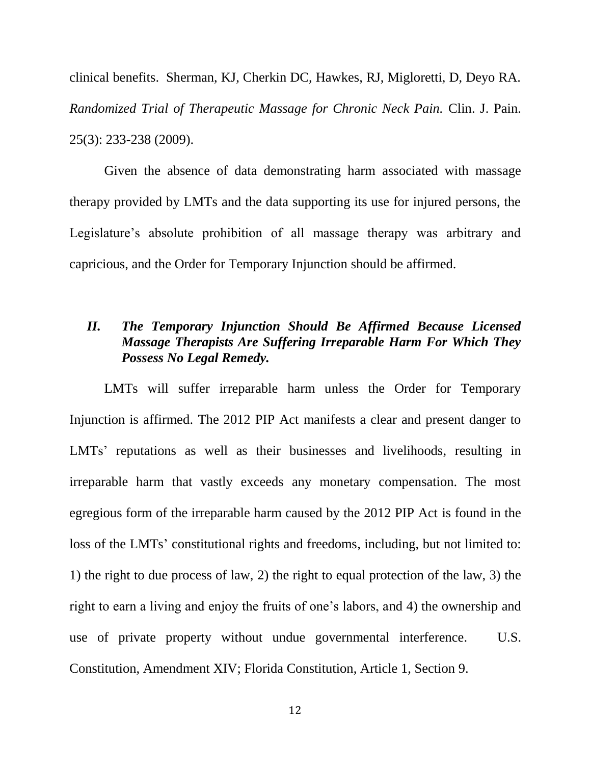clinical benefits. Sherman, KJ, Cherkin DC, Hawkes, RJ, Migloretti, D, Deyo RA. *Randomized Trial of Therapeutic Massage for Chronic Neck Pain.* Clin. J. Pain. 25(3): 233-238 (2009).

Given the absence of data demonstrating harm associated with massage therapy provided by LMTs and the data supporting its use for injured persons, the Legislature's absolute prohibition of all massage therapy was arbitrary and capricious, and the Order for Temporary Injunction should be affirmed.

### *II. The Temporary Injunction Should Be Affirmed Because Licensed Massage Therapists Are Suffering Irreparable Harm For Which They Possess No Legal Remedy.*

LMTs will suffer irreparable harm unless the Order for Temporary Injunction is affirmed. The 2012 PIP Act manifests a clear and present danger to LMTs' reputations as well as their businesses and livelihoods, resulting in irreparable harm that vastly exceeds any monetary compensation. The most egregious form of the irreparable harm caused by the 2012 PIP Act is found in the loss of the LMTs' constitutional rights and freedoms, including, but not limited to: 1) the right to due process of law, 2) the right to equal protection of the law, 3) the right to earn a living and enjoy the fruits of one's labors, and 4) the ownership and use of private property without undue governmental interference. U.S. Constitution, Amendment XIV; Florida Constitution, Article 1, Section 9.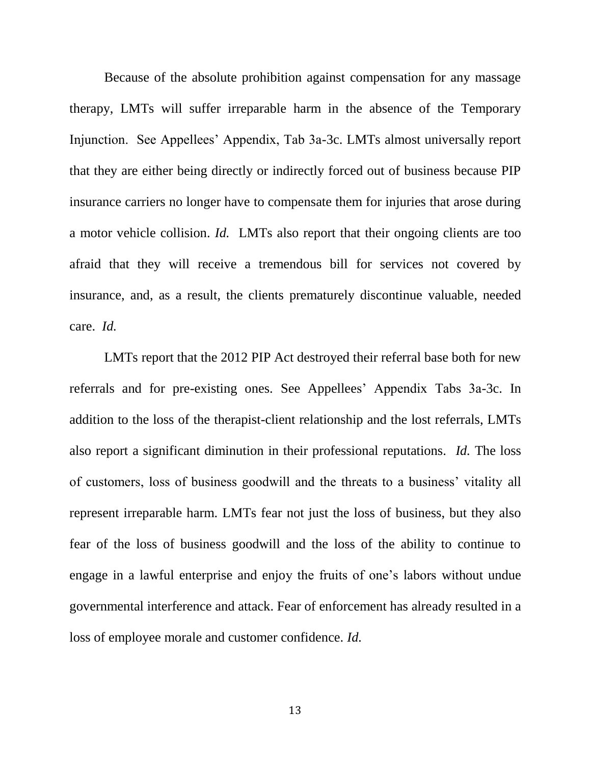Because of the absolute prohibition against compensation for any massage therapy, LMTs will suffer irreparable harm in the absence of the Temporary Injunction. See Appellees' Appendix, Tab 3a-3c. LMTs almost universally report that they are either being directly or indirectly forced out of business because PIP insurance carriers no longer have to compensate them for injuries that arose during a motor vehicle collision. *Id.* LMTs also report that their ongoing clients are too afraid that they will receive a tremendous bill for services not covered by insurance, and, as a result, the clients prematurely discontinue valuable, needed care. *Id.*

LMTs report that the 2012 PIP Act destroyed their referral base both for new referrals and for pre-existing ones. See Appellees' Appendix Tabs 3a-3c. In addition to the loss of the therapist-client relationship and the lost referrals, LMTs also report a significant diminution in their professional reputations. *Id.* The loss of customers, loss of business goodwill and the threats to a business' vitality all represent irreparable harm. LMTs fear not just the loss of business, but they also fear of the loss of business goodwill and the loss of the ability to continue to engage in a lawful enterprise and enjoy the fruits of one's labors without undue governmental interference and attack. Fear of enforcement has already resulted in a loss of employee morale and customer confidence. *Id.*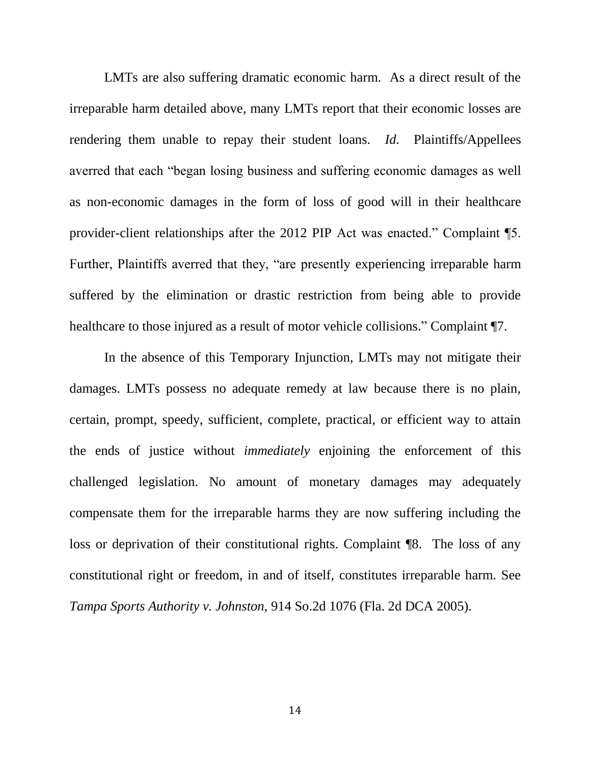LMTs are also suffering dramatic economic harm. As a direct result of the irreparable harm detailed above, many LMTs report that their economic losses are rendering them unable to repay their student loans. *Id.* Plaintiffs/Appellees averred that each "began losing business and suffering economic damages as well as non-economic damages in the form of loss of good will in their healthcare provider-client relationships after the 2012 PIP Act was enacted." Complaint ¶5. Further, Plaintiffs averred that they, "are presently experiencing irreparable harm suffered by the elimination or drastic restriction from being able to provide healthcare to those injured as a result of motor vehicle collisions." Complaint ¶7.

In the absence of this Temporary Injunction, LMTs may not mitigate their damages. LMTs possess no adequate remedy at law because there is no plain, certain, prompt, speedy, sufficient, complete, practical, or efficient way to attain the ends of justice without *immediately* enjoining the enforcement of this challenged legislation. No amount of monetary damages may adequately compensate them for the irreparable harms they are now suffering including the loss or deprivation of their constitutional rights. Complaint ¶8. The loss of any constitutional right or freedom, in and of itself, constitutes irreparable harm. See *Tampa Sports Authority v. Johnston,* 914 So.2d 1076 (Fla. 2d DCA 2005).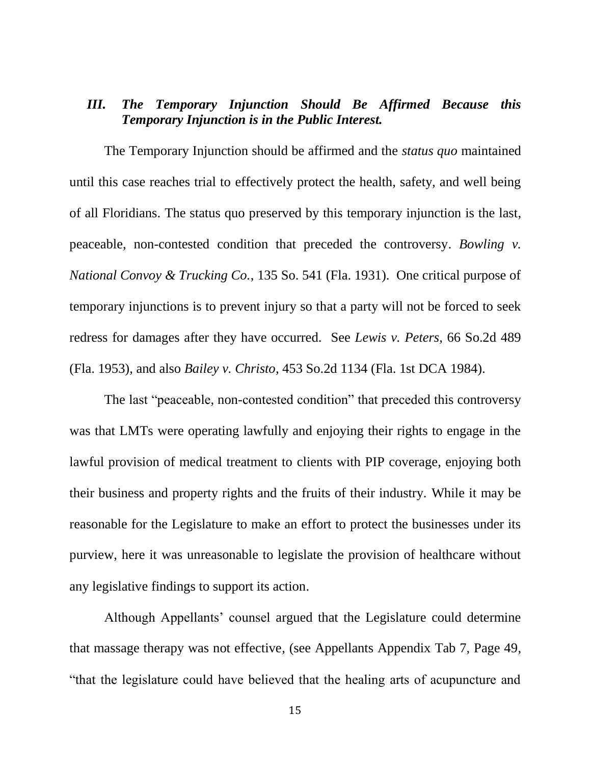### *III. The Temporary Injunction Should Be Affirmed Because this Temporary Injunction is in the Public Interest.*

The Temporary Injunction should be affirmed and the *status quo* maintained until this case reaches trial to effectively protect the health, safety, and well being of all Floridians. The status quo preserved by this temporary injunction is the last, peaceable, non-contested condition that preceded the controversy. *Bowling v. National Convoy & Trucking Co.*, 135 So. 541 (Fla. 1931). One critical purpose of temporary injunctions is to prevent injury so that a party will not be forced to seek redress for damages after they have occurred. See *Lewis v. Peters*, 66 So.2d 489 (Fla. 1953), and also *Bailey v. Christo*, 453 So.2d 1134 (Fla. 1st DCA 1984).

The last "peaceable, non-contested condition" that preceded this controversy was that LMTs were operating lawfully and enjoying their rights to engage in the lawful provision of medical treatment to clients with PIP coverage, enjoying both their business and property rights and the fruits of their industry. While it may be reasonable for the Legislature to make an effort to protect the businesses under its purview, here it was unreasonable to legislate the provision of healthcare without any legislative findings to support its action.

Although Appellants' counsel argued that the Legislature could determine that massage therapy was not effective, (see Appellants Appendix Tab 7, Page 49, "that the legislature could have believed that the healing arts of acupuncture and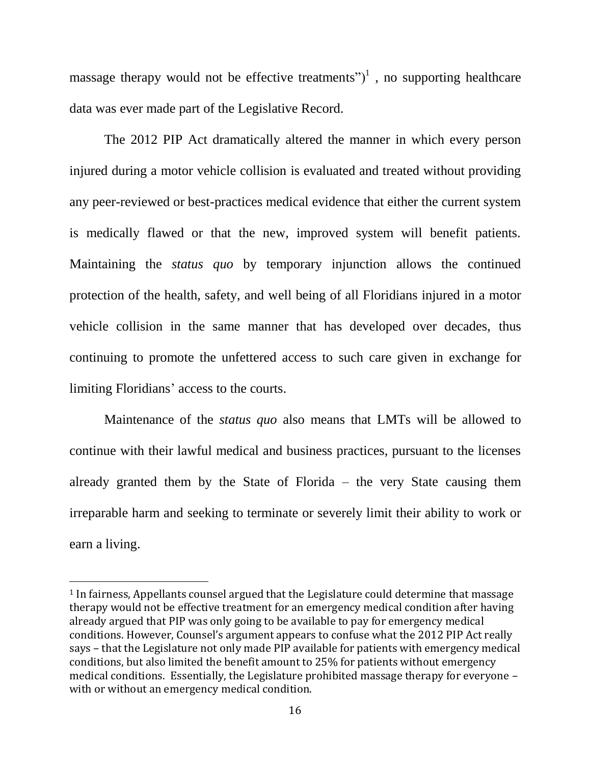massage therapy would not be effective treatments")<sup>1</sup>, no supporting healthcare data was ever made part of the Legislative Record.

The 2012 PIP Act dramatically altered the manner in which every person injured during a motor vehicle collision is evaluated and treated without providing any peer-reviewed or best-practices medical evidence that either the current system is medically flawed or that the new, improved system will benefit patients. Maintaining the *status quo* by temporary injunction allows the continued protection of the health, safety, and well being of all Floridians injured in a motor vehicle collision in the same manner that has developed over decades, thus continuing to promote the unfettered access to such care given in exchange for limiting Floridians' access to the courts.

Maintenance of the *status quo* also means that LMTs will be allowed to continue with their lawful medical and business practices, pursuant to the licenses already granted them by the State of Florida – the very State causing them irreparable harm and seeking to terminate or severely limit their ability to work or earn a living.

 $\overline{a}$ 

<sup>1</sup> In fairness, Appellants counsel argued that the Legislature could determine that massage therapy would not be effective treatment for an emergency medical condition after having already argued that PIP was only going to be available to pay for emergency medical conditions. However, Counsel's argument appears to confuse what the 2012 PIP Act really says – that the Legislature not only made PIP available for patients with emergency medical conditions, but also limited the benefit amount to 25% for patients without emergency medical conditions. Essentially, the Legislature prohibited massage therapy for everyone – with or without an emergency medical condition.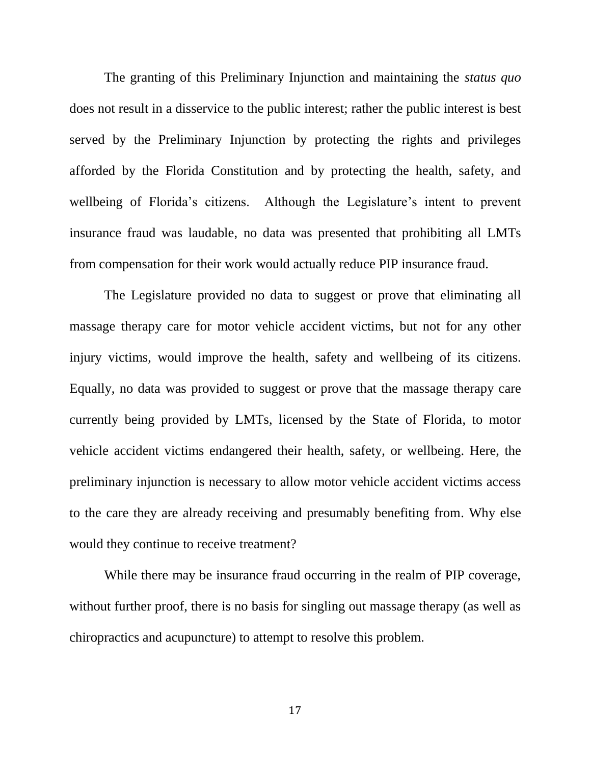The granting of this Preliminary Injunction and maintaining the *status quo*  does not result in a disservice to the public interest; rather the public interest is best served by the Preliminary Injunction by protecting the rights and privileges afforded by the Florida Constitution and by protecting the health, safety, and wellbeing of Florida's citizens. Although the Legislature's intent to prevent insurance fraud was laudable, no data was presented that prohibiting all LMTs from compensation for their work would actually reduce PIP insurance fraud.

The Legislature provided no data to suggest or prove that eliminating all massage therapy care for motor vehicle accident victims, but not for any other injury victims, would improve the health, safety and wellbeing of its citizens. Equally, no data was provided to suggest or prove that the massage therapy care currently being provided by LMTs, licensed by the State of Florida, to motor vehicle accident victims endangered their health, safety, or wellbeing. Here, the preliminary injunction is necessary to allow motor vehicle accident victims access to the care they are already receiving and presumably benefiting from. Why else would they continue to receive treatment?

While there may be insurance fraud occurring in the realm of PIP coverage, without further proof, there is no basis for singling out massage therapy (as well as chiropractics and acupuncture) to attempt to resolve this problem.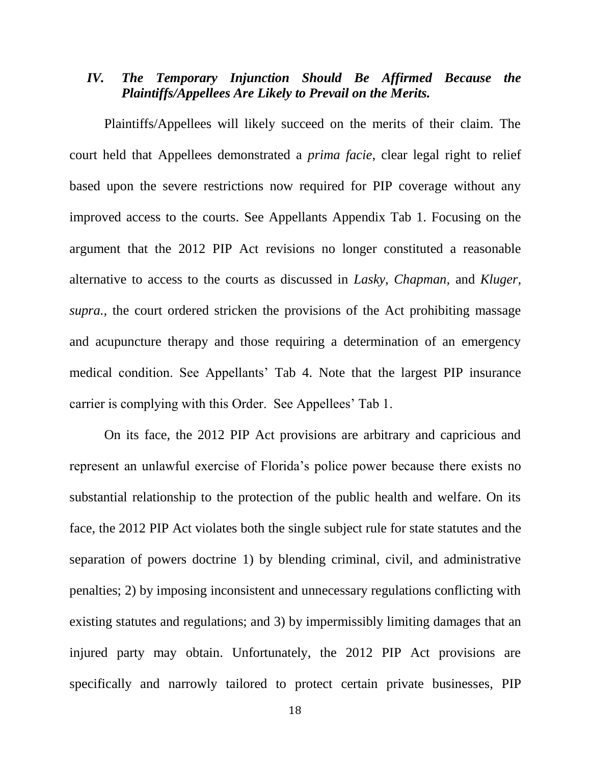### *IV. The Temporary Injunction Should Be Affirmed Because the Plaintiffs/Appellees Are Likely to Prevail on the Merits.*

Plaintiffs/Appellees will likely succeed on the merits of their claim. The court held that Appellees demonstrated a *prima facie*, clear legal right to relief based upon the severe restrictions now required for PIP coverage without any improved access to the courts. See Appellants Appendix Tab 1. Focusing on the argument that the 2012 PIP Act revisions no longer constituted a reasonable alternative to access to the courts as discussed in *Lasky, Chapman,* and *Kluger, supra.,* the court ordered stricken the provisions of the Act prohibiting massage and acupuncture therapy and those requiring a determination of an emergency medical condition. See Appellants' Tab 4. Note that the largest PIP insurance carrier is complying with this Order. See Appellees' Tab 1.

On its face, the 2012 PIP Act provisions are arbitrary and capricious and represent an unlawful exercise of Florida's police power because there exists no substantial relationship to the protection of the public health and welfare. On its face, the 2012 PIP Act violates both the single subject rule for state statutes and the separation of powers doctrine 1) by blending criminal, civil, and administrative penalties; 2) by imposing inconsistent and unnecessary regulations conflicting with existing statutes and regulations; and 3) by impermissibly limiting damages that an injured party may obtain. Unfortunately, the 2012 PIP Act provisions are specifically and narrowly tailored to protect certain private businesses, PIP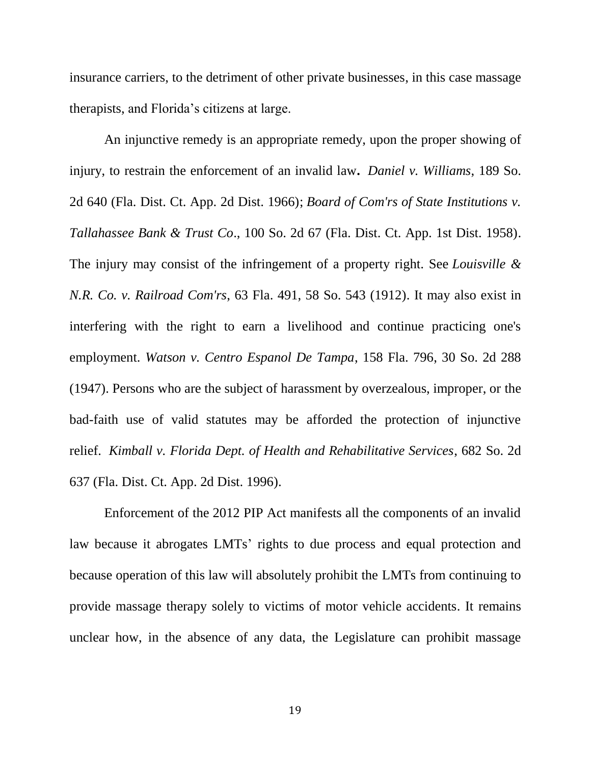insurance carriers, to the detriment of other private businesses, in this case massage therapists, and Florida's citizens at large.

An injunctive remedy is an appropriate remedy, upon the proper showing of injury, to restrain the enforcement of an invalid law**.** *[Daniel v. Williams](http://www.westlaw.com/Find/Default.wl?rs=dfa1.0&vr=2.0&DB=0000735&FindType=Y&SerialNum=1966115018)*, 189 So. [2d 640 \(Fla. Dist. Ct. App. 2d Dist. 1966\);](http://www.westlaw.com/Find/Default.wl?rs=dfa1.0&vr=2.0&DB=0000735&FindType=Y&SerialNum=1966115018) *[Board of Com'rs of State Institutions v.](http://www.westlaw.com/Find/Default.wl?rs=dfa1.0&vr=2.0&DB=0000735&FindType=Y&SerialNum=1958125823)  Tallahassee Bank & Trust Co*[., 100 So. 2d 67 \(Fla. Dist. Ct. App. 1st Dist. 1958\).](http://www.westlaw.com/Find/Default.wl?rs=dfa1.0&vr=2.0&DB=0000735&FindType=Y&SerialNum=1958125823) The injury may consist of the infringement of a property right. See *[Louisville &](http://www.westlaw.com/Find/Default.wl?rs=dfa1.0&vr=2.0&DB=0000734&FindType=Y&SerialNum=1912000276)  N.R. Co. v. Railroad Com'rs*[, 63 Fla. 491, 58 So. 543 \(1912\).](http://www.westlaw.com/Find/Default.wl?rs=dfa1.0&vr=2.0&DB=0000734&FindType=Y&SerialNum=1912000276) It may also exist in interfering with the right to earn a livelihood and continue practicing one's employment. *[Watson v. Centro Espanol De Tampa](http://www.westlaw.com/Find/Default.wl?rs=dfa1.0&vr=2.0&DB=0000735&FindType=Y&SerialNum=1947106710)*, 158 Fla. 796, 30 So. 2d 288 [\(1947\).](http://www.westlaw.com/Find/Default.wl?rs=dfa1.0&vr=2.0&DB=0000735&FindType=Y&SerialNum=1947106710) Persons who are the subject of harassment by overzealous, improper, or the bad-faith use of valid statutes may be afforded the protection of injunctive relief. *[Kimball v. Florida Dept. of Health and Rehabilitative Services](http://www.westlaw.com/Find/Default.wl?rs=dfa1.0&vr=2.0&DB=0000735&FindType=Y&SerialNum=1996243953)*, 682 So. 2d [637 \(Fla. Dist. Ct. App. 2d Dist. 1996\).](http://www.westlaw.com/Find/Default.wl?rs=dfa1.0&vr=2.0&DB=0000735&FindType=Y&SerialNum=1996243953)

Enforcement of the 2012 PIP Act manifests all the components of an invalid law because it abrogates LMTs' rights to due process and equal protection and because operation of this law will absolutely prohibit the LMTs from continuing to provide massage therapy solely to victims of motor vehicle accidents. It remains unclear how, in the absence of any data, the Legislature can prohibit massage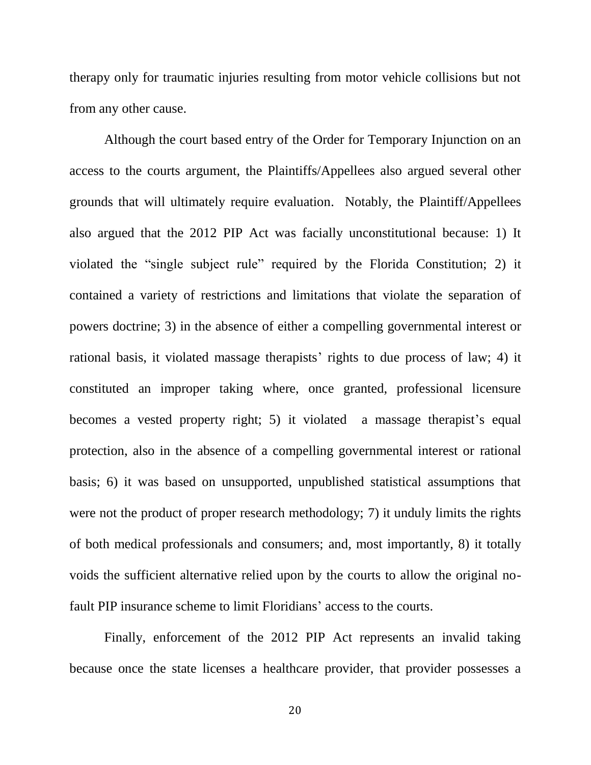therapy only for traumatic injuries resulting from motor vehicle collisions but not from any other cause.

Although the court based entry of the Order for Temporary Injunction on an access to the courts argument, the Plaintiffs/Appellees also argued several other grounds that will ultimately require evaluation. Notably, the Plaintiff/Appellees also argued that the 2012 PIP Act was facially unconstitutional because: 1) It violated the "single subject rule" required by the Florida Constitution; 2) it contained a variety of restrictions and limitations that violate the separation of powers doctrine; 3) in the absence of either a compelling governmental interest or rational basis, it violated massage therapists' rights to due process of law; 4) it constituted an improper taking where, once granted, professional licensure becomes a vested property right; 5) it violated a massage therapist's equal protection, also in the absence of a compelling governmental interest or rational basis; 6) it was based on unsupported, unpublished statistical assumptions that were not the product of proper research methodology; 7) it unduly limits the rights of both medical professionals and consumers; and, most importantly, 8) it totally voids the sufficient alternative relied upon by the courts to allow the original nofault PIP insurance scheme to limit Floridians' access to the courts.

Finally, enforcement of the 2012 PIP Act represents an invalid taking because once the state licenses a healthcare provider, that provider possesses a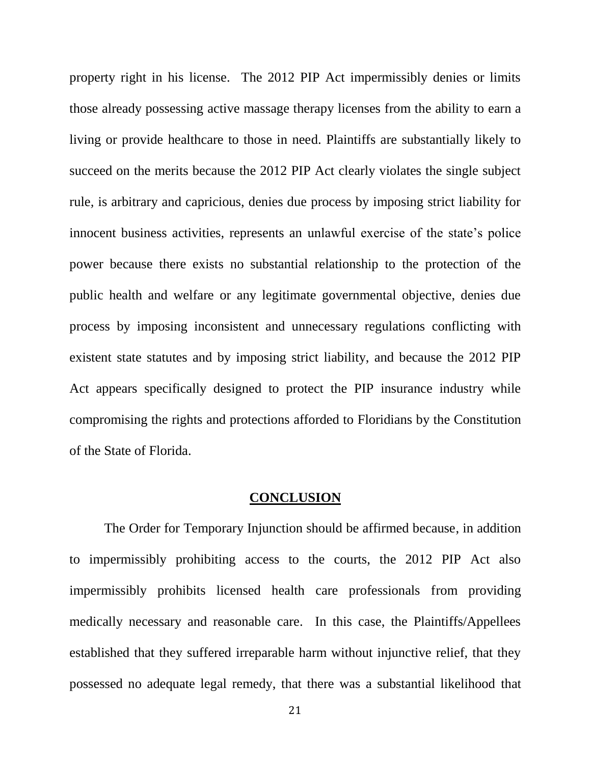property right in his license. The 2012 PIP Act impermissibly denies or limits those already possessing active massage therapy licenses from the ability to earn a living or provide healthcare to those in need. Plaintiffs are substantially likely to succeed on the merits because the 2012 PIP Act clearly violates the single subject rule*,* is arbitrary and capricious, denies due process by imposing strict liability for innocent business activities, represents an unlawful exercise of the state's police power because there exists no substantial relationship to the protection of the public health and welfare or any legitimate governmental objective, denies due process by imposing inconsistent and unnecessary regulations conflicting with existent state statutes and by imposing strict liability, and because the 2012 PIP Act appears specifically designed to protect the PIP insurance industry while compromising the rights and protections afforded to Floridians by the Constitution of the State of Florida.

#### **CONCLUSION**

The Order for Temporary Injunction should be affirmed because, in addition to impermissibly prohibiting access to the courts, the 2012 PIP Act also impermissibly prohibits licensed health care professionals from providing medically necessary and reasonable care. In this case, the Plaintiffs/Appellees established that they suffered irreparable harm without injunctive relief, that they possessed no adequate legal remedy, that there was a substantial likelihood that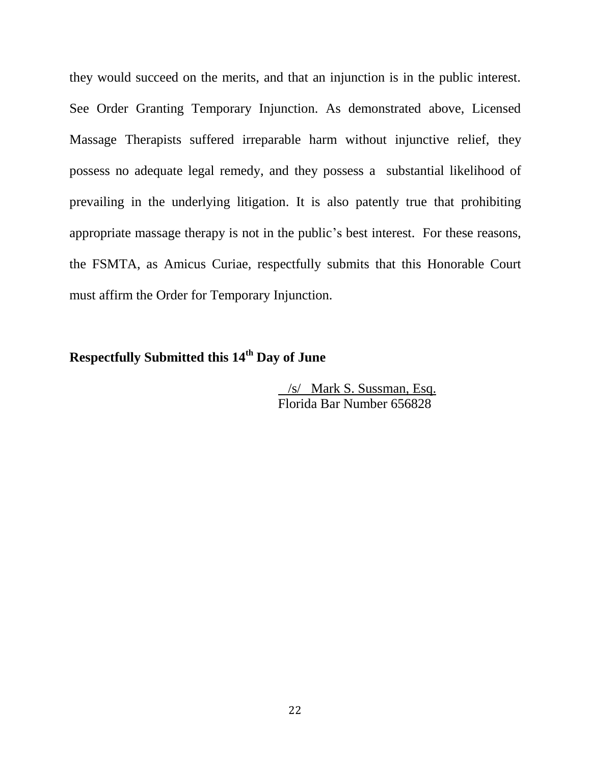they would succeed on the merits, and that an injunction is in the public interest. See Order Granting Temporary Injunction. As demonstrated above, Licensed Massage Therapists suffered irreparable harm without injunctive relief, they possess no adequate legal remedy, and they possess a substantial likelihood of prevailing in the underlying litigation. It is also patently true that prohibiting appropriate massage therapy is not in the public's best interest. For these reasons, the FSMTA, as Amicus Curiae, respectfully submits that this Honorable Court must affirm the Order for Temporary Injunction.

## **Respectfully Submitted this 14th Day of June**

 /s/ Mark S. Sussman, Esq. Florida Bar Number 656828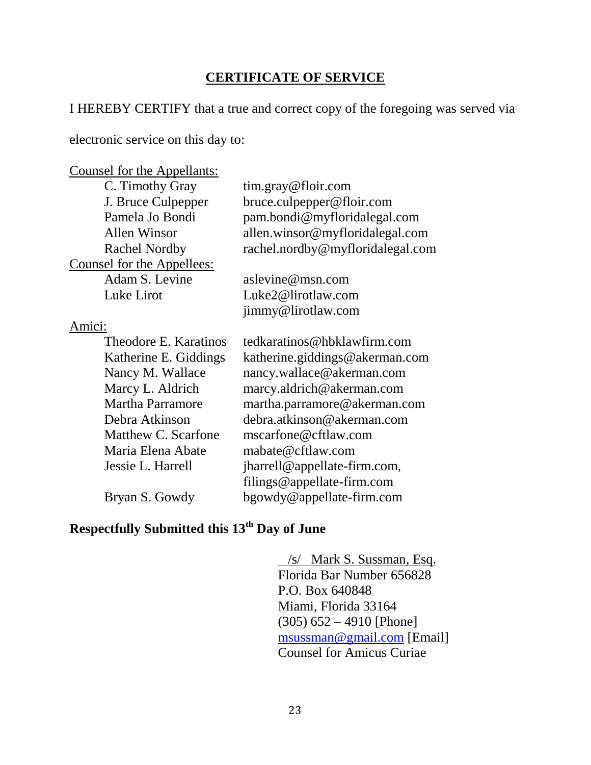### **CERTIFICATE OF SERVICE**

### I HEREBY CERTIFY that a true and correct copy of the foregoing was served via

electronic service on this day to:

| Counsel for the Appellants: |                                   |
|-----------------------------|-----------------------------------|
| C. Timothy Gray             | $\lim_{x \to \infty}$ effloir.com |
| J. Bruce Culpepper          | bruce.culpepper@floir.com         |
| Pamela Jo Bondi             | pam.bondi@myfloridalegal.com      |
| <b>Allen Winsor</b>         | allen.winsor@myfloridalegal.com   |
| <b>Rachel Nordby</b>        | rachel.nordby@myfloridalegal.com  |
| Counsel for the Appellees:  |                                   |
| Adam S. Levine              | aslevine@msn.com                  |
| Luke Lirot                  | Luke2@lirotlaw.com                |
|                             | jimmy@lirotlaw.com                |
| Amici:                      |                                   |
| Theodore E. Karatinos       | tedkaratinos@hbklawfirm.com       |
| Katherine E. Giddings       | katherine.giddings@akerman.com    |
| Nancy M. Wallace            | nancy.wallace@akerman.com         |
| Marcy L. Aldrich            | marcy.aldrich@akerman.com         |
| <b>Martha Parramore</b>     | martha.parramore@akerman.com      |
| Debra Atkinson              | debra.atkinson@akerman.com        |
| Matthew C. Scarfone         | mscarfone@cftlaw.com              |
| Maria Elena Abate           | mabate@cftlaw.com                 |
| Jessie L. Harrell           | jharrell@appellate-firm.com,      |
|                             | filings@appellate-firm.com        |
| Bryan S. Gowdy              | bgowdy@appellate-firm.com         |
|                             |                                   |

# **Respectfully Submitted this 13th Day of June**

 /s/ Mark S. Sussman, Esq. Florida Bar Number 656828 P.O. Box 640848 Miami, Florida 33164 (305) 652 – 4910 [Phone] [msussman@gmail.com](mailto:msussman@gmail.com) [Email] Counsel for Amicus Curiae